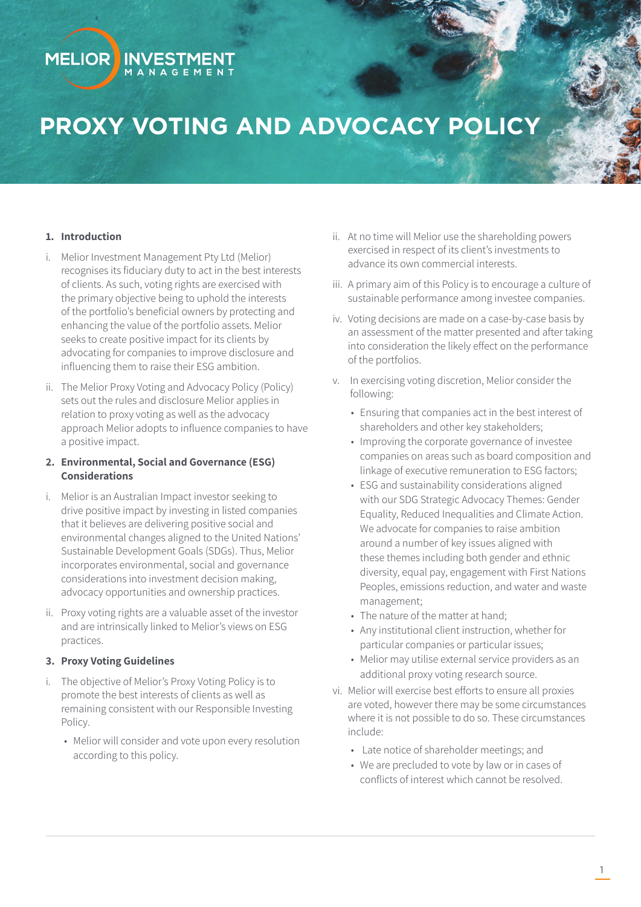# **PROXY VOTING AND ADVOCACY POLICY**

#### **1. Introduction**

**MELIOR** 

i. Melior Investment Management Pty Ltd (Melior) recognises its fiduciary duty to act in the best interests of clients. As such, voting rights are exercised with the primary objective being to uphold the interests of the portfolio's beneficial owners by protecting and enhancing the value of the portfolio assets. Melior seeks to create positive impact for its clients by advocating for companies to improve disclosure and influencing them to raise their ESG ambition.

**INVESTMENT** M A N A G E M E N T

ii. The Melior Proxy Voting and Advocacy Policy (Policy) sets out the rules and disclosure Melior applies in relation to proxy voting as well as the advocacy approach Melior adopts to influence companies to have a positive impact.

# **2. Environmental, Social and Governance (ESG) Considerations**

- i. Melior is an Australian Impact investor seeking to drive positive impact by investing in listed companies that it believes are delivering positive social and environmental changes aligned to the United Nations' Sustainable Development Goals (SDGs). Thus, Melior incorporates environmental, social and governance considerations into investment decision making, advocacy opportunities and ownership practices.
- ii. Proxy voting rights are a valuable asset of the investor and are intrinsically linked to Melior's views on ESG practices.

#### **3. Proxy Voting Guidelines**

- i. The objective of Melior's Proxy Voting Policy is to promote the best interests of clients as well as remaining consistent with our Responsible Investing Policy.
	- Melior will consider and vote upon every resolution according to this policy.
- ii. At no time will Melior use the shareholding powers exercised in respect of its client's investments to advance its own commercial interests.
- iii. A primary aim of this Policy is to encourage a culture of sustainable performance among investee companies.
- iv. Voting decisions are made on a case-by-case basis by an assessment of the matter presented and after taking into consideration the likely effect on the performance of the portfolios.
- v. In exercising voting discretion, Melior consider the following:
	- Ensuring that companies act in the best interest of shareholders and other key stakeholders;
	- Improving the corporate governance of investee companies on areas such as board composition and linkage of executive remuneration to ESG factors;
	- ESG and sustainability considerations aligned with our SDG Strategic Advocacy Themes: Gender Equality, Reduced Inequalities and Climate Action. We advocate for companies to raise ambition around a number of key issues aligned with these themes including both gender and ethnic diversity, equal pay, engagement with First Nations Peoples, emissions reduction, and water and waste management;
	- The nature of the matter at hand;
	- Any institutional client instruction, whether for particular companies or particular issues;
	- Melior may utilise external service providers as an additional proxy voting research source.
- vi. Melior will exercise best efforts to ensure all proxies are voted, however there may be some circumstances where it is not possible to do so. These circumstances include:
	- Late notice of shareholder meetings; and
	- We are precluded to vote by law or in cases of conflicts of interest which cannot be resolved.